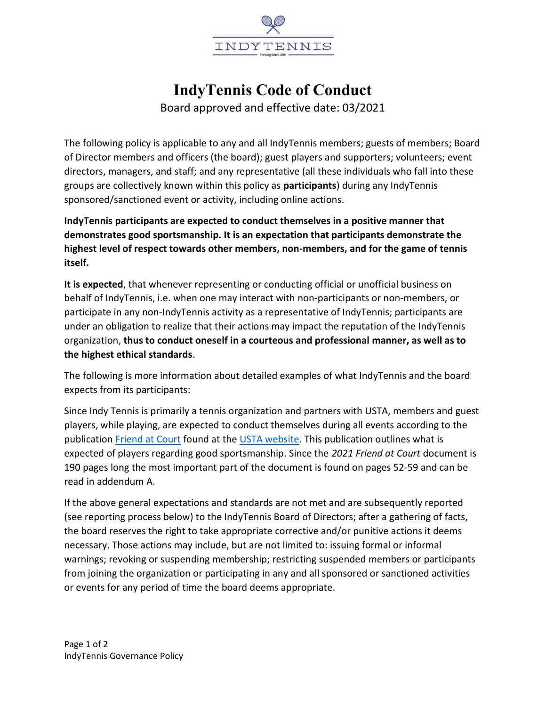

## IndyTennis Code of Conduct

Board approved and effective date: 03/2021

The following policy is applicable to any and all IndyTennis members; guests of members; Board of Director members and officers (the board); guest players and supporters; volunteers; event directors, managers, and staff; and any representative (all these individuals who fall into these groups are collectively known within this policy as participants) during any IndyTennis sponsored/sanctioned event or activity, including online actions.

IndyTennis participants are expected to conduct themselves in a positive manner that demonstrates good sportsmanship. It is an expectation that participants demonstrate the highest level of respect towards other members, non-members, and for the game of tennis itself.

It is expected, that whenever representing or conducting official or unofficial business on behalf of IndyTennis, i.e. when one may interact with non-participants or non-members, or participate in any non-IndyTennis activity as a representative of IndyTennis; participants are under an obligation to realize that their actions may impact the reputation of the IndyTennis organization, thus to conduct oneself in a courteous and professional manner, as well as to the highest ethical standards.

The following is more information about detailed examples of what IndyTennis and the board expects from its participants:

Since Indy Tennis is primarily a tennis organization and partners with USTA, members and guest players, while playing, are expected to conduct themselves during all events according to the publication Friend at Court found at the USTA website. This publication outlines what is expected of players regarding good sportsmanship. Since the 2021 Friend at Court document is 190 pages long the most important part of the document is found on pages 52-59 and can be read in addendum A.

If the above general expectations and standards are not met and are subsequently reported (see reporting process below) to the IndyTennis Board of Directors; after a gathering of facts, the board reserves the right to take appropriate corrective and/or punitive actions it deems necessary. Those actions may include, but are not limited to: issuing formal or informal warnings; revoking or suspending membership; restricting suspended members or participants from joining the organization or participating in any and all sponsored or sanctioned activities or events for any period of time the board deems appropriate.